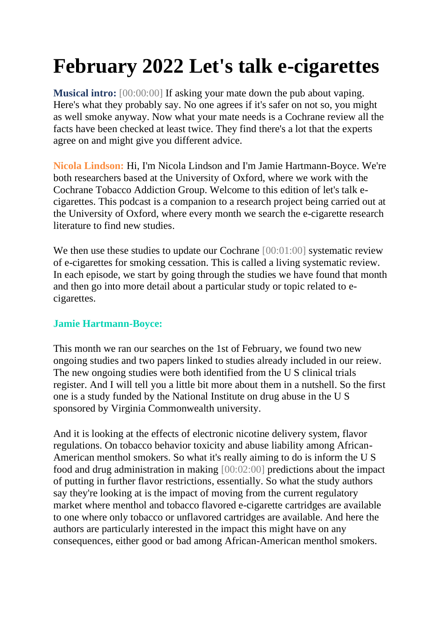## **February 2022 Let's talk e-cigarettes**

**Musical intro:** [00:00:00] If asking your mate down the pub about vaping. Here's what they probably say. No one agrees if it's safer on not so, you might as well smoke anyway. Now what your mate needs is a Cochrane review all the facts have been checked at least twice. They find there's a lot that the experts agree on and might give you different advice.

**Nicola Lindson:** Hi, I'm Nicola Lindson and I'm Jamie Hartmann-Boyce. We're both researchers based at the University of Oxford, where we work with the Cochrane Tobacco Addiction Group. Welcome to this edition of let's talk ecigarettes. This podcast is a companion to a research project being carried out at the University of Oxford, where every month we search the e-cigarette research literature to find new studies.

We then use these studies to update our Cochrane [00:01:00] systematic review of e-cigarettes for smoking cessation. This is called a living systematic review. In each episode, we start by going through the studies we have found that month and then go into more detail about a particular study or topic related to ecigarettes.

## **Jamie Hartmann-Boyce:**

This month we ran our searches on the 1st of February, we found two new ongoing studies and two papers linked to studies already included in our reiew. The new ongoing studies were both identified from the U S clinical trials register. And I will tell you a little bit more about them in a nutshell. So the first one is a study funded by the National Institute on drug abuse in the U S sponsored by Virginia Commonwealth university.

And it is looking at the effects of electronic nicotine delivery system, flavor regulations. On tobacco behavior toxicity and abuse liability among African-American menthol smokers. So what it's really aiming to do is inform the U S food and drug administration in making [00:02:00] predictions about the impact of putting in further flavor restrictions, essentially. So what the study authors say they're looking at is the impact of moving from the current regulatory market where menthol and tobacco flavored e-cigarette cartridges are available to one where only tobacco or unflavored cartridges are available. And here the authors are particularly interested in the impact this might have on any consequences, either good or bad among African-American menthol smokers.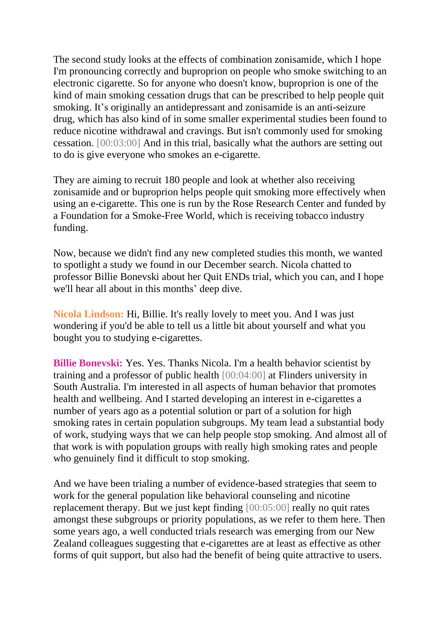The second study looks at the effects of combination zonisamide, which I hope I'm pronouncing correctly and buproprion on people who smoke switching to an electronic cigarette. So for anyone who doesn't know, buproprion is one of the kind of main smoking cessation drugs that can be prescribed to help people quit smoking. It's originally an antidepressant and zonisamide is an anti-seizure drug, which has also kind of in some smaller experimental studies been found to reduce nicotine withdrawal and cravings. But isn't commonly used for smoking cessation. [00:03:00] And in this trial, basically what the authors are setting out to do is give everyone who smokes an e-cigarette.

They are aiming to recruit 180 people and look at whether also receiving zonisamide and or buproprion helps people quit smoking more effectively when using an e-cigarette. This one is run by the Rose Research Center and funded by a Foundation for a Smoke-Free World, which is receiving tobacco industry funding.

Now, because we didn't find any new completed studies this month, we wanted to spotlight a study we found in our December search. Nicola chatted to professor Billie Bonevski about her Quit ENDs trial, which you can, and I hope we'll hear all about in this months' deep dive.

**Nicola Lindson:** Hi, Billie. It's really lovely to meet you. And I was just wondering if you'd be able to tell us a little bit about yourself and what you bought you to studying e-cigarettes.

**Billie Bonevski:** Yes. Yes. Thanks Nicola. I'm a health behavior scientist by training and a professor of public health [00:04:00] at Flinders university in South Australia. I'm interested in all aspects of human behavior that promotes health and wellbeing. And I started developing an interest in e-cigarettes a number of years ago as a potential solution or part of a solution for high smoking rates in certain population subgroups. My team lead a substantial body of work, studying ways that we can help people stop smoking. And almost all of that work is with population groups with really high smoking rates and people who genuinely find it difficult to stop smoking.

And we have been trialing a number of evidence-based strategies that seem to work for the general population like behavioral counseling and nicotine replacement therapy. But we just kept finding [00:05:00] really no quit rates amongst these subgroups or priority populations, as we refer to them here. Then some years ago, a well conducted trials research was emerging from our New Zealand colleagues suggesting that e-cigarettes are at least as effective as other forms of quit support, but also had the benefit of being quite attractive to users.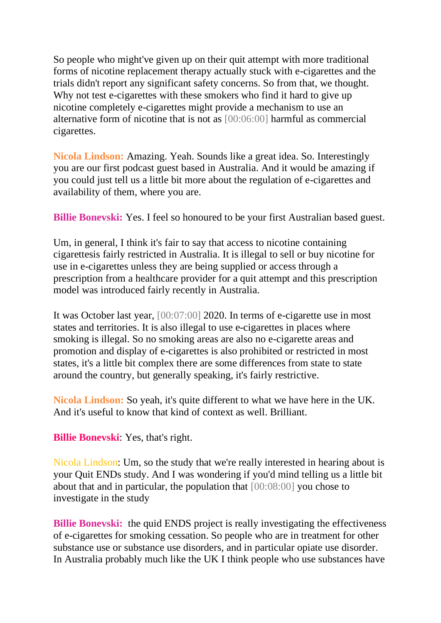So people who might've given up on their quit attempt with more traditional forms of nicotine replacement therapy actually stuck with e-cigarettes and the trials didn't report any significant safety concerns. So from that, we thought. Why not test e-cigarettes with these smokers who find it hard to give up nicotine completely e-cigarettes might provide a mechanism to use an alternative form of nicotine that is not as [00:06:00] harmful as commercial cigarettes.

**Nicola Lindson:** Amazing. Yeah. Sounds like a great idea. So. Interestingly you are our first podcast guest based in Australia. And it would be amazing if you could just tell us a little bit more about the regulation of e-cigarettes and availability of them, where you are.

**Billie Bonevski:** Yes. I feel so honoured to be your first Australian based guest.

Um, in general, I think it's fair to say that access to nicotine containing cigarettesis fairly restricted in Australia. It is illegal to sell or buy nicotine for use in e-cigarettes unless they are being supplied or access through a prescription from a healthcare provider for a quit attempt and this prescription model was introduced fairly recently in Australia.

It was October last year, [00:07:00] 2020. In terms of e-cigarette use in most states and territories. It is also illegal to use e-cigarettes in places where smoking is illegal. So no smoking areas are also no e-cigarette areas and promotion and display of e-cigarettes is also prohibited or restricted in most states, it's a little bit complex there are some differences from state to state around the country, but generally speaking, it's fairly restrictive.

**Nicola Lindson:** So yeah, it's quite different to what we have here in the UK. And it's useful to know that kind of context as well. Brilliant.

**Billie Bonevski**: Yes, that's right.

Nicola Lindson: Um, so the study that we're really interested in hearing about is your Quit ENDs study. And I was wondering if you'd mind telling us a little bit about that and in particular, the population that [00:08:00] you chose to investigate in the study

**Billie Bonevski:** the quid ENDS project is really investigating the effectiveness of e-cigarettes for smoking cessation. So people who are in treatment for other substance use or substance use disorders, and in particular opiate use disorder. In Australia probably much like the UK I think people who use substances have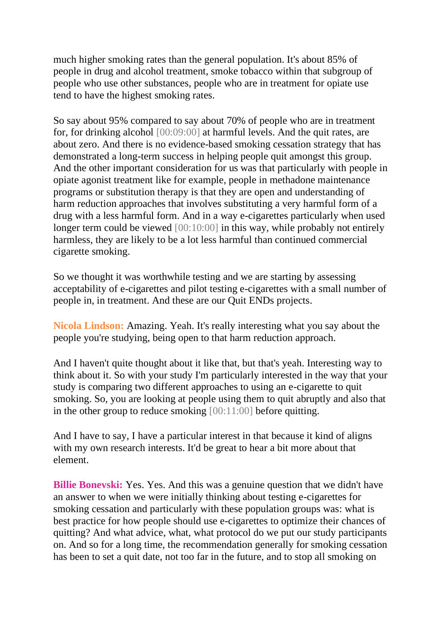much higher smoking rates than the general population. It's about 85% of people in drug and alcohol treatment, smoke tobacco within that subgroup of people who use other substances, people who are in treatment for opiate use tend to have the highest smoking rates.

So say about 95% compared to say about 70% of people who are in treatment for, for drinking alcohol [00:09:00] at harmful levels. And the quit rates, are about zero. And there is no evidence-based smoking cessation strategy that has demonstrated a long-term success in helping people quit amongst this group. And the other important consideration for us was that particularly with people in opiate agonist treatment like for example, people in methadone maintenance programs or substitution therapy is that they are open and understanding of harm reduction approaches that involves substituting a very harmful form of a drug with a less harmful form. And in a way e-cigarettes particularly when used longer term could be viewed  $[00:10:00]$  in this way, while probably not entirely harmless, they are likely to be a lot less harmful than continued commercial cigarette smoking.

So we thought it was worthwhile testing and we are starting by assessing acceptability of e-cigarettes and pilot testing e-cigarettes with a small number of people in, in treatment. And these are our Quit ENDs projects.

**Nicola Lindson:** Amazing. Yeah. It's really interesting what you say about the people you're studying, being open to that harm reduction approach.

And I haven't quite thought about it like that, but that's yeah. Interesting way to think about it. So with your study I'm particularly interested in the way that your study is comparing two different approaches to using an e-cigarette to quit smoking. So, you are looking at people using them to quit abruptly and also that in the other group to reduce smoking [00:11:00] before quitting.

And I have to say, I have a particular interest in that because it kind of aligns with my own research interests. It'd be great to hear a bit more about that element.

**Billie Bonevski:** Yes. Yes. And this was a genuine question that we didn't have an answer to when we were initially thinking about testing e-cigarettes for smoking cessation and particularly with these population groups was: what is best practice for how people should use e-cigarettes to optimize their chances of quitting? And what advice, what, what protocol do we put our study participants on. And so for a long time, the recommendation generally for smoking cessation has been to set a quit date, not too far in the future, and to stop all smoking on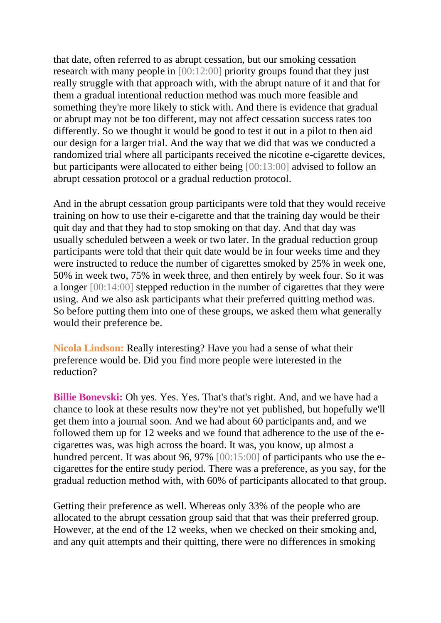that date, often referred to as abrupt cessation, but our smoking cessation research with many people in [00:12:00] priority groups found that they just really struggle with that approach with, with the abrupt nature of it and that for them a gradual intentional reduction method was much more feasible and something they're more likely to stick with. And there is evidence that gradual or abrupt may not be too different, may not affect cessation success rates too differently. So we thought it would be good to test it out in a pilot to then aid our design for a larger trial. And the way that we did that was we conducted a randomized trial where all participants received the nicotine e-cigarette devices, but participants were allocated to either being [00:13:00] advised to follow an abrupt cessation protocol or a gradual reduction protocol.

And in the abrupt cessation group participants were told that they would receive training on how to use their e-cigarette and that the training day would be their quit day and that they had to stop smoking on that day. And that day was usually scheduled between a week or two later. In the gradual reduction group participants were told that their quit date would be in four weeks time and they were instructed to reduce the number of cigarettes smoked by 25% in week one, 50% in week two, 75% in week three, and then entirely by week four. So it was a longer [00:14:00] stepped reduction in the number of cigarettes that they were using. And we also ask participants what their preferred quitting method was. So before putting them into one of these groups, we asked them what generally would their preference be.

**Nicola Lindson:** Really interesting? Have you had a sense of what their preference would be. Did you find more people were interested in the reduction?

**Billie Bonevski:** Oh yes. Yes. Yes. That's that's right. And, and we have had a chance to look at these results now they're not yet published, but hopefully we'll get them into a journal soon. And we had about 60 participants and, and we followed them up for 12 weeks and we found that adherence to the use of the ecigarettes was, was high across the board. It was, you know, up almost a hundred percent. It was about 96, 97% [00:15:00] of participants who use the ecigarettes for the entire study period. There was a preference, as you say, for the gradual reduction method with, with 60% of participants allocated to that group.

Getting their preference as well. Whereas only 33% of the people who are allocated to the abrupt cessation group said that that was their preferred group. However, at the end of the 12 weeks, when we checked on their smoking and, and any quit attempts and their quitting, there were no differences in smoking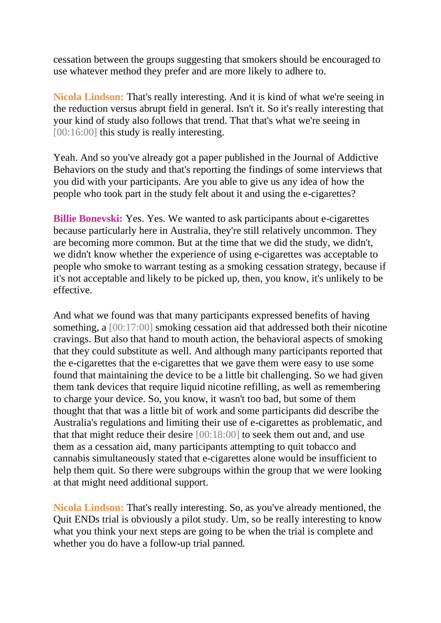cessation between the groups suggesting that smokers should be encouraged to use whatever method they prefer and are more likely to adhere to.

**Nicola Lindson:** That's really interesting. And it is kind of what we're seeing in the reduction versus abrupt field in general. Isn't it. So it's really interesting that your kind of study also follows that trend. That that's what we're seeing in [00:16:00] this study is really interesting.

Yeah. And so you've already got a paper published in the Journal of Addictive Behaviors on the study and that's reporting the findings of some interviews that you did with your participants. Are you able to give us any idea of how the people who took part in the study felt about it and using the e-cigarettes?

**Billie Bonevski:** Yes. Yes. We wanted to ask participants about e-cigarettes because particularly here in Australia, they're still relatively uncommon. They are becoming more common. But at the time that we did the study, we didn't, we didn't know whether the experience of using e-cigarettes was acceptable to people who smoke to warrant testing as a smoking cessation strategy, because if it's not acceptable and likely to be picked up, then, you know, it's unlikely to be effective.

And what we found was that many participants expressed benefits of having something, a [00:17:00] smoking cessation aid that addressed both their nicotine cravings. But also that hand to mouth action, the behavioral aspects of smoking that they could substitute as well. And although many participants reported that the e-cigarettes that the e-cigarettes that we gave them were easy to use some found that maintaining the device to be a little bit challenging. So we had given them tank devices that require liquid nicotine refilling, as well as remembering to charge your device. So, you know, it wasn't too bad, but some of them thought that that was a little bit of work and some participants did describe the Australia's regulations and limiting their use of e-cigarettes as problematic, and that that might reduce their desire [00:18:00] to seek them out and, and use them as a cessation aid, many participants attempting to quit tobacco and cannabis simultaneously stated that e-cigarettes alone would be insufficient to help them quit. So there were subgroups within the group that we were looking at that might need additional support.

**Nicola Lindson:** That's really interesting. So, as you've already mentioned, the Quit ENDs trial is obviously a pilot study. Um, so be really interesting to know what you think your next steps are going to be when the trial is complete and whether you do have a follow-up trial panned.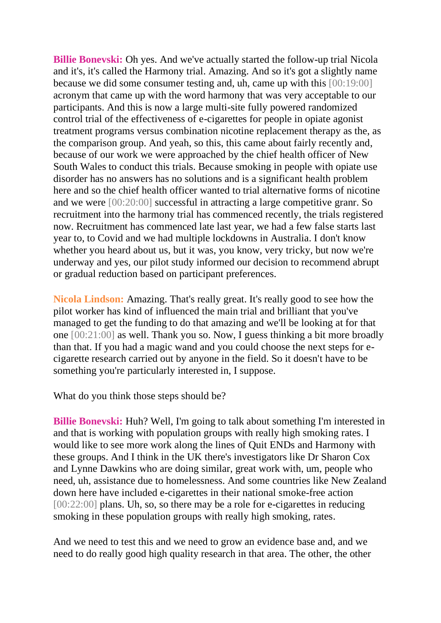**Billie Bonevski:** Oh yes. And we've actually started the follow-up trial Nicola and it's, it's called the Harmony trial. Amazing. And so it's got a slightly name because we did some consumer testing and, uh, came up with this [00:19:00] acronym that came up with the word harmony that was very acceptable to our participants. And this is now a large multi-site fully powered randomized control trial of the effectiveness of e-cigarettes for people in opiate agonist treatment programs versus combination nicotine replacement therapy as the, as the comparison group. And yeah, so this, this came about fairly recently and, because of our work we were approached by the chief health officer of New South Wales to conduct this trials. Because smoking in people with opiate use disorder has no answers has no solutions and is a significant health problem here and so the chief health officer wanted to trial alternative forms of nicotine and we were [00:20:00] successful in attracting a large competitive granr. So recruitment into the harmony trial has commenced recently, the trials registered now. Recruitment has commenced late last year, we had a few false starts last year to, to Covid and we had multiple lockdowns in Australia. I don't know whether you heard about us, but it was, you know, very tricky, but now we're underway and yes, our pilot study informed our decision to recommend abrupt or gradual reduction based on participant preferences.

**Nicola Lindson:** Amazing. That's really great. It's really good to see how the pilot worker has kind of influenced the main trial and brilliant that you've managed to get the funding to do that amazing and we'll be looking at for that one [00:21:00] as well. Thank you so. Now, I guess thinking a bit more broadly than that. If you had a magic wand and you could choose the next steps for ecigarette research carried out by anyone in the field. So it doesn't have to be something you're particularly interested in, I suppose.

What do you think those steps should be?

**Billie Bonevski:** Huh? Well, I'm going to talk about something I'm interested in and that is working with population groups with really high smoking rates. I would like to see more work along the lines of Quit ENDs and Harmony with these groups. And I think in the UK there's investigators like Dr Sharon Cox and Lynne Dawkins who are doing similar, great work with, um, people who need, uh, assistance due to homelessness. And some countries like New Zealand down here have included e-cigarettes in their national smoke-free action [00:22:00] plans. Uh, so, so there may be a role for e-cigarettes in reducing smoking in these population groups with really high smoking, rates.

And we need to test this and we need to grow an evidence base and, and we need to do really good high quality research in that area. The other, the other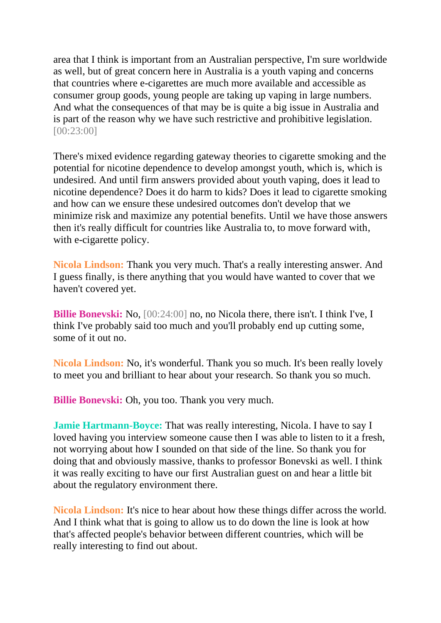area that I think is important from an Australian perspective, I'm sure worldwide as well, but of great concern here in Australia is a youth vaping and concerns that countries where e-cigarettes are much more available and accessible as consumer group goods, young people are taking up vaping in large numbers. And what the consequences of that may be is quite a big issue in Australia and is part of the reason why we have such restrictive and prohibitive legislation. [00:23:00]

There's mixed evidence regarding gateway theories to cigarette smoking and the potential for nicotine dependence to develop amongst youth, which is, which is undesired. And until firm answers provided about youth vaping, does it lead to nicotine dependence? Does it do harm to kids? Does it lead to cigarette smoking and how can we ensure these undesired outcomes don't develop that we minimize risk and maximize any potential benefits. Until we have those answers then it's really difficult for countries like Australia to, to move forward with, with e-cigarette policy.

**Nicola Lindson:** Thank you very much. That's a really interesting answer. And I guess finally, is there anything that you would have wanted to cover that we haven't covered yet.

**Billie Bonevski:** No,  $[00:24:00]$  no, no Nicola there, there isn't. I think I've, I think I've probably said too much and you'll probably end up cutting some, some of it out no.

**Nicola Lindson:** No, it's wonderful. Thank you so much. It's been really lovely to meet you and brilliant to hear about your research. So thank you so much.

**Billie Bonevski:** Oh, you too. Thank you very much.

**Jamie Hartmann-Boyce:** That was really interesting, Nicola. I have to say I loved having you interview someone cause then I was able to listen to it a fresh, not worrying about how I sounded on that side of the line. So thank you for doing that and obviously massive, thanks to professor Bonevski as well. I think it was really exciting to have our first Australian guest on and hear a little bit about the regulatory environment there.

**Nicola Lindson:** It's nice to hear about how these things differ across the world. And I think what that is going to allow us to do down the line is look at how that's affected people's behavior between different countries, which will be really interesting to find out about.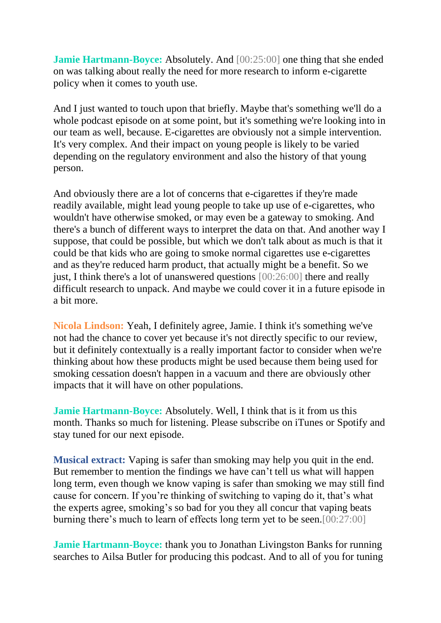**Jamie Hartmann-Boyce:** Absolutely. And [00:25:00] one thing that she ended on was talking about really the need for more research to inform e-cigarette policy when it comes to youth use.

And I just wanted to touch upon that briefly. Maybe that's something we'll do a whole podcast episode on at some point, but it's something we're looking into in our team as well, because. E-cigarettes are obviously not a simple intervention. It's very complex. And their impact on young people is likely to be varied depending on the regulatory environment and also the history of that young person.

And obviously there are a lot of concerns that e-cigarettes if they're made readily available, might lead young people to take up use of e-cigarettes, who wouldn't have otherwise smoked, or may even be a gateway to smoking. And there's a bunch of different ways to interpret the data on that. And another way I suppose, that could be possible, but which we don't talk about as much is that it could be that kids who are going to smoke normal cigarettes use e-cigarettes and as they're reduced harm product, that actually might be a benefit. So we just, I think there's a lot of unanswered questions [00:26:00] there and really difficult research to unpack. And maybe we could cover it in a future episode in a bit more.

**Nicola Lindson:** Yeah, I definitely agree, Jamie. I think it's something we've not had the chance to cover yet because it's not directly specific to our review, but it definitely contextually is a really important factor to consider when we're thinking about how these products might be used because them being used for smoking cessation doesn't happen in a vacuum and there are obviously other impacts that it will have on other populations.

**Jamie Hartmann-Boyce:** Absolutely. Well, I think that is it from us this month. Thanks so much for listening. Please subscribe on iTunes or Spotify and stay tuned for our next episode.

**Musical extract:** Vaping is safer than smoking may help you quit in the end. But remember to mention the findings we have can't tell us what will happen long term, even though we know vaping is safer than smoking we may still find cause for concern. If you're thinking of switching to vaping do it, that's what the experts agree, smoking's so bad for you they all concur that vaping beats burning there's much to learn of effects long term yet to be seen.[00:27:00]

**Jamie Hartmann-Boyce:** thank you to Jonathan Livingston Banks for running searches to Ailsa Butler for producing this podcast. And to all of you for tuning